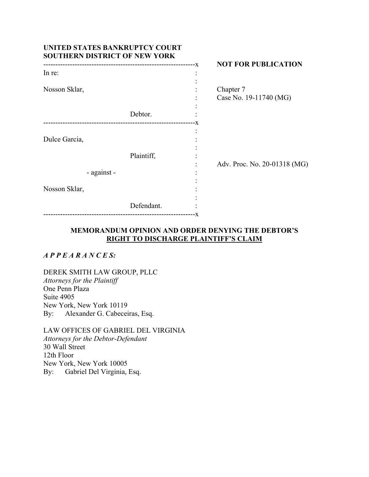| UNITED STATES BANKRUPTCY COURT<br><b>SOUTHERN DISTRICT OF NEW YORK</b> |                                 |  |                                     |
|------------------------------------------------------------------------|---------------------------------|--|-------------------------------------|
| In re:                                                                 | ------------------------------X |  | <b>NOT FOR PUBLICATION</b>          |
| Nosson Sklar,                                                          |                                 |  | Chapter 7<br>Case No. 19-11740 (MG) |
|                                                                        | Debtor.                         |  |                                     |
| Dulce Garcia,                                                          |                                 |  |                                     |
| - against -                                                            | Plaintiff,                      |  | Adv. Proc. No. 20-01318 (MG)        |
| Nosson Sklar,                                                          |                                 |  |                                     |
|                                                                        | Defendant.                      |  |                                     |

# **MEMORANDUM OPINION AND ORDER DENYING THE DEBTOR'S RIGHT TO DISCHARGE PLAINTIFF'S CLAIM**

*A P P E A R A N C E S:* 

DEREK SMITH LAW GROUP, PLLC *Attorneys for the Plaintiff*  One Penn Plaza Suite 4905 New York, New York 10119 By: Alexander G. Cabeceiras, Esq.

LAW OFFICES OF GABRIEL DEL VIRGINIA *Attorneys for the Debtor-Defendant*  30 Wall Street 12th Floor New York, New York 10005 By: Gabriel Del Virginia, Esq.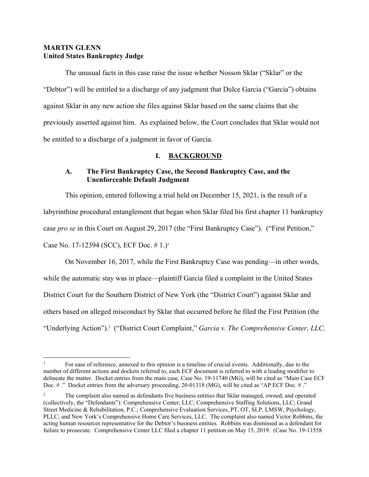## **MARTIN GLENN United States Bankruptcy Judge**

The unusual facts in this case raise the issue whether Nosson Sklar ("Sklar" or the "Debtor") will be entitled to a discharge of any judgment that Dulce Garcia ("Garcia") obtains against Sklar in any new action she files against Sklar based on the same claims that she previously asserted against him. As explained below, the Court concludes that Sklar would not be entitled to a discharge of a judgment in favor of Garcia.

# **I. BACKGROUND**

# **A. The First Bankruptcy Case, the Second Bankruptcy Case, and the Unenforceable Default Judgment**

This opinion, entered following a trial held on December 15, 2021, is the result of a labyrinthine procedural entanglement that began when Sklar filed his first chapter 11 bankruptcy case *pro se* in this Court on August 29, 2017 (the "First Bankruptcy Case"). ("First Petition," Case No. 17-12394 (SCC), ECF Doc. #1.)<sup>1</sup>

On November 16, 2017, while the First Bankruptcy Case was pending—in other words, while the automatic stay was in place—plaintiff Garcia filed a complaint in the United States District Court for the Southern District of New York (the "District Court") against Sklar and others based on alleged misconduct by Sklar that occurred before he filed the First Petition (the "Underlying Action").<sup>2</sup> ("District Court Complaint," *Garcia v. The Comprehensive Center, LLC,* 

<sup>1</sup> For ease of reference, annexed to this opinion is a timeline of crucial events. Additionally, due to the number of different actions and dockets referred to, each ECF document is referred to with a leading modifier to delineate the matter. Docket entries from the main case, Case No. 19-11740 (MG), will be cited as "Main Case ECF Doc. # ." Docket entries from the adversary proceeding, 20-01318 (MG), will be cited as "AP ECF Doc. # ."

<sup>2</sup> The complaint also named as defendants five business entities that Sklar managed, owned, and operated (collectively, the "Defendants"): Comprehensive Center, LLC; Comprehensive Staffing Solutions, LLC; Grand Street Medicine & Rehabilitation, P.C.; Comprehensive Evaluation Services, PT, OT, SLP, LMSW, Psychology, PLLC; and New York's Comprehensive Home Care Services, LLC. The complaint also named Victor Robbins, the acting human resources representative for the Debtor's business entities. Robbins was dismissed as a defendant for failure to prosecute. Comprehensive Center LLC filed a chapter 11 petition on May 15, 2019. (Case No. 19-11558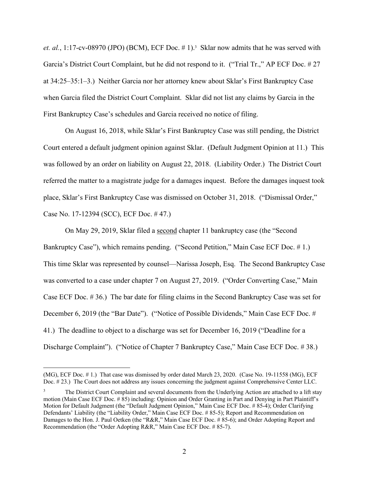et. al., 1:17-cv-08970 (JPO) (BCM), ECF Doc. #1).<sup>3</sup> Sklar now admits that he was served with Garcia's District Court Complaint, but he did not respond to it. ("Trial Tr.," AP ECF Doc. #27 at 34:25–35:1–3.) Neither Garcia nor her attorney knew about Sklar's First Bankruptcy Case when Garcia filed the District Court Complaint. Sklar did not list any claims by Garcia in the First Bankruptcy Case's schedules and Garcia received no notice of filing.

On August 16, 2018, while Sklar's First Bankruptcy Case was still pending, the District Court entered a default judgment opinion against Sklar. (Default Judgment Opinion at 11.) This was followed by an order on liability on August 22, 2018. (Liability Order.) The District Court referred the matter to a magistrate judge for a damages inquest. Before the damages inquest took place, Sklar's First Bankruptcy Case was dismissed on October 31, 2018. ("Dismissal Order," Case No. 17-12394 (SCC), ECF Doc. # 47.)

On May 29, 2019, Sklar filed a second chapter 11 bankruptcy case (the "Second Bankruptcy Case"), which remains pending. ("Second Petition," Main Case ECF Doc. #1.) This time Sklar was represented by counsel—Narissa Joseph, Esq. The Second Bankruptcy Case was converted to a case under chapter 7 on August 27, 2019. ("Order Converting Case," Main Case ECF Doc. # 36.) The bar date for filing claims in the Second Bankruptcy Case was set for December 6, 2019 (the "Bar Date"). ("Notice of Possible Dividends," Main Case ECF Doc. # 41.) The deadline to object to a discharge was set for December 16, 2019 ("Deadline for a Discharge Complaint"). ("Notice of Chapter 7 Bankruptcy Case," Main Case ECF Doc. # 38.)

<sup>(</sup>MG), ECF Doc. # 1.) That case was dismissed by order dated March 23, 2020. (Case No. 19-11558 (MG), ECF Doc. #23.) The Court does not address any issues concerning the judgment against Comprehensive Center LLC.

<sup>3</sup> The District Court Complaint and several documents from the Underlying Action are attached to a lift stay motion (Main Case ECF Doc. # 85) including: Opinion and Order Granting in Part and Denying in Part Plaintiff's Motion for Default Judgment (the "Default Judgment Opinion," Main Case ECF Doc. # 85-4); Order Clarifying Defendants' Liability (the "Liability Order," Main Case ECF Doc. # 85-5); Report and Recommendation on Damages to the Hon. J. Paul Oetken (the "R&R," Main Case ECF Doc. # 85-6); and Order Adopting Report and Recommendation (the "Order Adopting R&R," Main Case ECF Doc. # 85-7).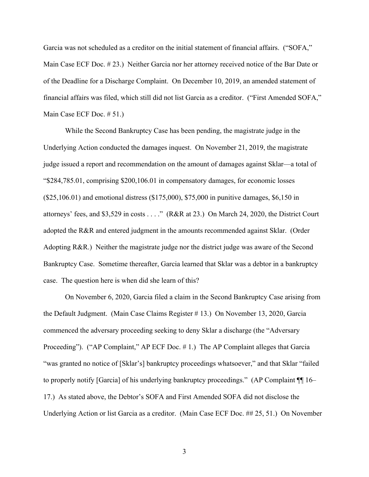Garcia was not scheduled as a creditor on the initial statement of financial affairs. ("SOFA," Main Case ECF Doc. # 23.) Neither Garcia nor her attorney received notice of the Bar Date or of the Deadline for a Discharge Complaint. On December 10, 2019, an amended statement of financial affairs was filed, which still did not list Garcia as a creditor. ("First Amended SOFA," Main Case ECF Doc. # 51.)

While the Second Bankruptcy Case has been pending, the magistrate judge in the Underlying Action conducted the damages inquest. On November 21, 2019, the magistrate judge issued a report and recommendation on the amount of damages against Sklar—a total of "\$284,785.01, comprising \$200,106.01 in compensatory damages, for economic losses (\$25,106.01) and emotional distress (\$175,000), \$75,000 in punitive damages, \$6,150 in attorneys' fees, and \$3,529 in costs . . . ." (R&R at 23.) On March 24, 2020, the District Court adopted the R&R and entered judgment in the amounts recommended against Sklar. (Order Adopting R&R.) Neither the magistrate judge nor the district judge was aware of the Second Bankruptcy Case. Sometime thereafter, Garcia learned that Sklar was a debtor in a bankruptcy case. The question here is when did she learn of this?

On November 6, 2020, Garcia filed a claim in the Second Bankruptcy Case arising from the Default Judgment. (Main Case Claims Register # 13.) On November 13, 2020, Garcia commenced the adversary proceeding seeking to deny Sklar a discharge (the "Adversary Proceeding"). ("AP Complaint," AP ECF Doc. # 1.) The AP Complaint alleges that Garcia "was granted no notice of [Sklar's] bankruptcy proceedings whatsoever," and that Sklar "failed to properly notify [Garcia] of his underlying bankruptcy proceedings." (AP Complaint ¶¶ 16– 17.) As stated above, the Debtor's SOFA and First Amended SOFA did not disclose the Underlying Action or list Garcia as a creditor. (Main Case ECF Doc. ## 25, 51.) On November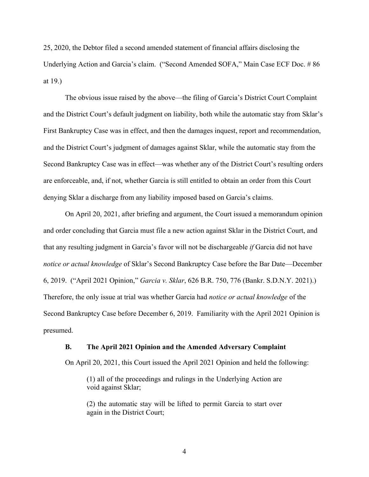25, 2020, the Debtor filed a second amended statement of financial affairs disclosing the Underlying Action and Garcia's claim. ("Second Amended SOFA," Main Case ECF Doc. # 86 at 19.)

The obvious issue raised by the above—the filing of Garcia's District Court Complaint and the District Court's default judgment on liability, both while the automatic stay from Sklar's First Bankruptcy Case was in effect, and then the damages inquest, report and recommendation, and the District Court's judgment of damages against Sklar, while the automatic stay from the Second Bankruptcy Case was in effect—was whether any of the District Court's resulting orders are enforceable, and, if not, whether Garcia is still entitled to obtain an order from this Court denying Sklar a discharge from any liability imposed based on Garcia's claims.

On April 20, 2021, after briefing and argument, the Court issued a memorandum opinion and order concluding that Garcia must file a new action against Sklar in the District Court, and that any resulting judgment in Garcia's favor will not be dischargeable *if* Garcia did not have *notice or actual knowledge* of Sklar's Second Bankruptcy Case before the Bar Date—December 6, 2019. ("April 2021 Opinion," *Garcia v. Sklar*, 626 B.R. 750, 776 (Bankr. S.D.N.Y. 2021).) Therefore, the only issue at trial was whether Garcia had *notice or actual knowledge* of the Second Bankruptcy Case before December 6, 2019. Familiarity with the April 2021 Opinion is presumed.

#### **B. The April 2021 Opinion and the Amended Adversary Complaint**

On April 20, 2021, this Court issued the April 2021 Opinion and held the following:

(1) all of the proceedings and rulings in the Underlying Action are void against Sklar;

(2) the automatic stay will be lifted to permit Garcia to start over again in the District Court;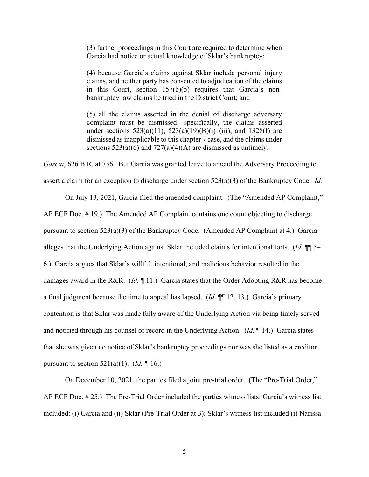(3) further proceedings in this Court are required to determine when Garcia had notice or actual knowledge of Sklar's bankruptcy;

(4) because Garcia's claims against Sklar include personal injury claims, and neither party has consented to adjudication of the claims in this Court, section 157(b)(5) requires that Garcia's nonbankruptcy law claims be tried in the District Court; and

(5) all the claims asserted in the denial of discharge adversary complaint must be dismissed—specifically, the claims asserted under sections  $523(a)(11)$ ,  $523(a)(19)(B)(i)$ –(iii), and  $1328(f)$  are dismissed as inapplicable to this chapter 7 case, and the claims under sections  $523(a)(6)$  and  $727(a)(4)(A)$  are dismissed as untimely.

*Garcia*, 626 B.R. at 756. But Garcia was granted leave to amend the Adversary Proceeding to assert a claim for an exception to discharge under section 523(a)(3) of the Bankruptcy Code. *Id.*

On July 13, 2021, Garcia filed the amended complaint. (The "Amended AP Complaint," AP ECF Doc. # 19.) The Amended AP Complaint contains one count objecting to discharge pursuant to section 523(a)(3) of the Bankruptcy Code. (Amended AP Complaint at 4.) Garcia alleges that the Underlying Action against Sklar included claims for intentional torts. (*Id.* ¶¶ 5– 6.) Garcia argues that Sklar's willful, intentional, and malicious behavior resulted in the damages award in the R&R. (*Id.* ¶ 11.) Garcia states that the Order Adopting R&R has become a final judgment because the time to appeal has lapsed. (*Id.* ¶¶ 12, 13.) Garcia's primary contention is that Sklar was made fully aware of the Underlying Action via being timely served and notified through his counsel of record in the Underlying Action. (*Id.* ¶ 14.) Garcia states that she was given no notice of Sklar's bankruptcy proceedings nor was she listed as a creditor pursuant to section 521(a)(1). (*Id. ¶* 16.)

On December 10, 2021, the parties filed a joint pre-trial order. (The "Pre-Trial Order," AP ECF Doc. # 25.) The Pre-Trial Order included the parties witness lists: Garcia's witness list included: (i) Garcia and (ii) Sklar (Pre-Trial Order at 3); Sklar's witness list included (i) Narissa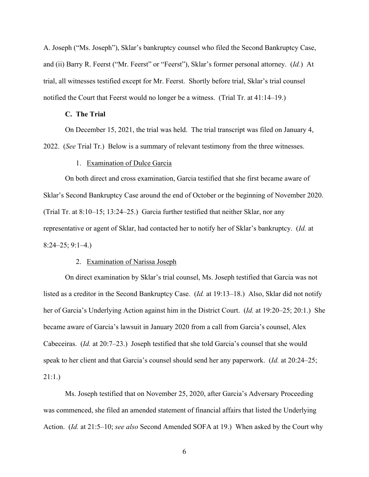A. Joseph ("Ms. Joseph"), Sklar's bankruptcy counsel who filed the Second Bankruptcy Case, and (ii) Barry R. Feerst ("Mr. Feerst" or "Feerst"), Sklar's former personal attorney. (*Id.*) At trial, all witnesses testified except for Mr. Feerst. Shortly before trial, Sklar's trial counsel notified the Court that Feerst would no longer be a witness. (Trial Tr. at 41:14–19.)

#### **C. The Trial**

On December 15, 2021, the trial was held. The trial transcript was filed on January 4, 2022. (*See* Trial Tr.) Below is a summary of relevant testimony from the three witnesses.

## 1. Examination of Dulce Garcia

On both direct and cross examination, Garcia testified that she first became aware of Sklar's Second Bankruptcy Case around the end of October or the beginning of November 2020. (Trial Tr. at 8:10–15; 13:24–25.) Garcia further testified that neither Sklar, nor any representative or agent of Sklar, had contacted her to notify her of Sklar's bankruptcy. (*Id.* at 8:24–25; 9:1–4.)

#### 2. Examination of Narissa Joseph

On direct examination by Sklar's trial counsel, Ms. Joseph testified that Garcia was not listed as a creditor in the Second Bankruptcy Case. (*Id.* at 19:13–18.) Also, Sklar did not notify her of Garcia's Underlying Action against him in the District Court. (*Id.* at 19:20–25; 20:1.) She became aware of Garcia's lawsuit in January 2020 from a call from Garcia's counsel, Alex Cabeceiras. (*Id.* at 20:7–23.) Joseph testified that she told Garcia's counsel that she would speak to her client and that Garcia's counsel should send her any paperwork. (*Id.* at 20:24–25; 21:1.)

Ms. Joseph testified that on November 25, 2020, after Garcia's Adversary Proceeding was commenced, she filed an amended statement of financial affairs that listed the Underlying Action. (*Id.* at 21:5–10; *see also* Second Amended SOFA at 19.) When asked by the Court why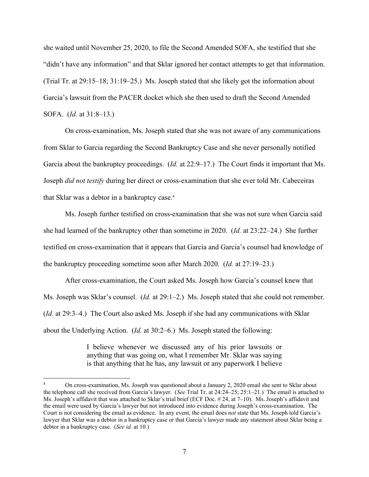she waited until November 25, 2020, to file the Second Amended SOFA, she testified that she "didn't have any information" and that Sklar ignored her contact attempts to get that information. (Trial Tr. at 29:15–18; 31:19–25.) Ms. Joseph stated that she likely got the information about Garcia's lawsuit from the PACER docket which she then used to draft the Second Amended SOFA. (*Id.* at 31:8–13.)

On cross-examination, Ms. Joseph stated that she was not aware of any communications from Sklar to Garcia regarding the Second Bankruptcy Case and she never personally notified Garcia about the bankruptcy proceedings. (*Id.* at 22:9–17.) The Court finds it important that Ms. Joseph *did not testify* during her direct or cross-examination that she ever told Mr. Cabeceiras that Sklar was a debtor in a bankruptcy case.4

Ms. Joseph further testified on cross-examination that she was not sure when Garcia said she had learned of the bankruptcy other than sometime in 2020. (*Id.* at 23:22–24.) She further testified on cross-examination that it appears that Garcia and Garcia's counsel had knowledge of the bankruptcy proceeding sometime soon after March 2020. (*Id.* at 27:19–23.)

After cross-examination, the Court asked Ms. Joseph how Garcia's counsel knew that Ms. Joseph was Sklar's counsel. (*Id.* at 29:1–2.) Ms. Joseph stated that she could not remember. (*Id.* at 29:3–4.) The Court also asked Ms. Joseph if she had any communications with Sklar about the Underlying Action. (*Id.* at 30:2–6.) Ms. Joseph stated the following:

> I believe whenever we discussed any of his prior lawsuits or anything that was going on, what I remember Mr. Sklar was saying is that anything that he has, any lawsuit or any paperwork I believe

<sup>4</sup> On cross-examination, Ms. Joseph was questioned about a January 2, 2020 email she sent to Sklar about the telephone call she received from Garcia's lawyer. (*See* Trial Tr. at 24:24–25; 25:1–21.) The email is attached to Ms. Joseph's affidavit that was attached to Sklar's trial brief (ECF Doc. # 24, at 7–10). Ms. Joseph's affidavit and the email were used by Garcia's lawyer but not introduced into evidence during Joseph's cross-examination. The Court is not considering the email as evidence. In any event, the email does *not* state that Ms. Joseph told Garcia's lawyer that Sklar was a debtor in a bankruptcy case or that Garcia's lawyer made any statement about Sklar being a debtor in a bankruptcy case. (*See id.* at 10.)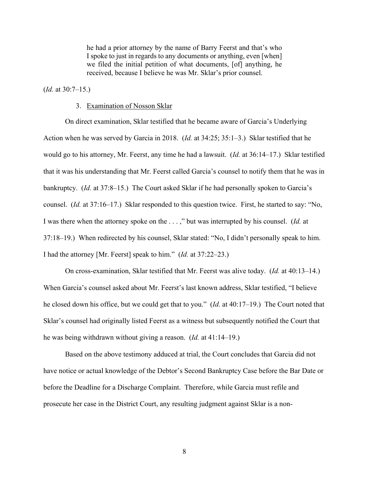he had a prior attorney by the name of Barry Feerst and that's who I spoke to just in regards to any documents or anything, even [when] we filed the initial petition of what documents, [of] anything, he received, because I believe he was Mr. Sklar's prior counsel.

(*Id.* at 30:7–15.)

### 3. Examination of Nosson Sklar

On direct examination, Sklar testified that he became aware of Garcia's Underlying Action when he was served by Garcia in 2018. (*Id.* at 34:25; 35:1–3.) Sklar testified that he would go to his attorney, Mr. Feerst, any time he had a lawsuit. (*Id.* at 36:14–17.) Sklar testified that it was his understanding that Mr. Feerst called Garcia's counsel to notify them that he was in bankruptcy. (*Id.* at 37:8–15.) The Court asked Sklar if he had personally spoken to Garcia's counsel. (*Id.* at 37:16–17.) Sklar responded to this question twice. First, he started to say: "No, I was there when the attorney spoke on the . . . ," but was interrupted by his counsel. (*Id.* at 37:18–19.) When redirected by his counsel, Sklar stated: "No, I didn't personally speak to him. I had the attorney [Mr. Feerst] speak to him." (*Id.* at 37:22–23.)

On cross-examination, Sklar testified that Mr. Feerst was alive today. (*Id.* at 40:13–14.) When Garcia's counsel asked about Mr. Feerst's last known address, Sklar testified, "I believe he closed down his office, but we could get that to you." (*Id.* at 40:17–19.) The Court noted that Sklar's counsel had originally listed Feerst as a witness but subsequently notified the Court that he was being withdrawn without giving a reason. (*Id.* at 41:14–19.)

Based on the above testimony adduced at trial, the Court concludes that Garcia did not have notice or actual knowledge of the Debtor's Second Bankruptcy Case before the Bar Date or before the Deadline for a Discharge Complaint. Therefore, while Garcia must refile and prosecute her case in the District Court, any resulting judgment against Sklar is a non-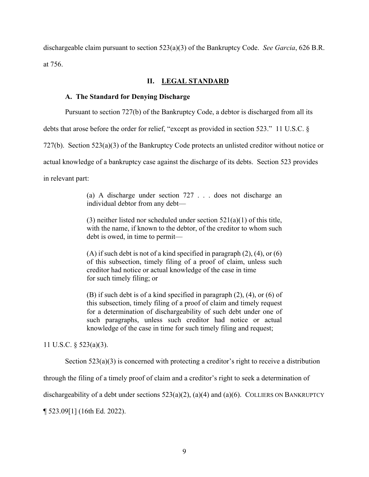dischargeable claim pursuant to section 523(a)(3) of the Bankruptcy Code. *See Garcia*, 626 B.R. at 756.

## **II. LEGAL STANDARD**

### **A. The Standard for Denying Discharge**

Pursuant to section 727(b) of the Bankruptcy Code, a debtor is discharged from all its

debts that arose before the order for relief, "except as provided in section 523." 11 U.S.C. §

727(b). Section 523(a)(3) of the Bankruptcy Code protects an unlisted creditor without notice or

actual knowledge of a bankruptcy case against the discharge of its debts. Section 523 provides

in relevant part:

(a) A discharge under section 727 . . . does not discharge an individual debtor from any debt—

(3) neither listed nor scheduled under section  $521(a)(1)$  of this title, with the name, if known to the debtor, of the creditor to whom such debt is owed, in time to permit—

(A) if such debt is not of a kind specified in paragraph  $(2)$ ,  $(4)$ , or  $(6)$ of this subsection, timely filing of a proof of claim, unless such creditor had notice or actual knowledge of the case in time for such timely filing; or

(B) if such debt is of a kind specified in paragraph (2), (4), or (6) of this subsection, timely filing of a proof of claim and timely request for a determination of dischargeability of such debt under one of such paragraphs, unless such creditor had notice or actual knowledge of the case in time for such timely filing and request;

11 U.S.C. § 523(a)(3).

Section 523(a)(3) is concerned with protecting a creditor's right to receive a distribution

through the filing of a timely proof of claim and a creditor's right to seek a determination of

dischargeability of a debt under sections  $523(a)(2)$ ,  $(a)(4)$  and  $(a)(6)$ . COLLIERS ON BANKRUPTCY

¶ 523.09[1] (16th Ed. 2022).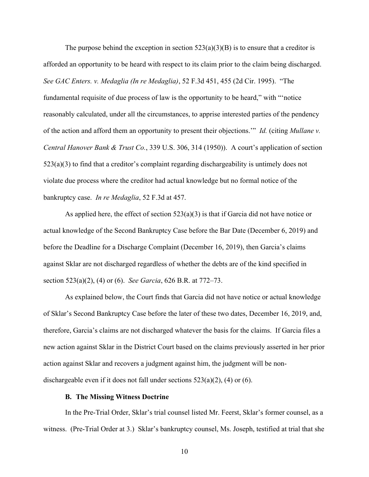The purpose behind the exception in section  $523(a)(3)(B)$  is to ensure that a creditor is afforded an opportunity to be heard with respect to its claim prior to the claim being discharged. *See GAC Enters. v. Medaglia (In re Medaglia)*, 52 F.3d 451, 455 (2d Cir. 1995). "The fundamental requisite of due process of law is the opportunity to be heard," with "'notice reasonably calculated, under all the circumstances, to apprise interested parties of the pendency of the action and afford them an opportunity to present their objections.'" *Id.* (citing *Mullane v. Central Hanover Bank & Trust Co.*, 339 U.S. 306, 314 (1950)). A court's application of section 523(a)(3) to find that a creditor's complaint regarding dischargeability is untimely does not violate due process where the creditor had actual knowledge but no formal notice of the bankruptcy case. *In re Medaglia*, 52 F.3d at 457.

As applied here, the effect of section  $523(a)(3)$  is that if Garcia did not have notice or actual knowledge of the Second Bankruptcy Case before the Bar Date (December 6, 2019) and before the Deadline for a Discharge Complaint (December 16, 2019), then Garcia's claims against Sklar are not discharged regardless of whether the debts are of the kind specified in section 523(a)(2), (4) or (6). *See Garcia*, 626 B.R. at 772–73.

As explained below, the Court finds that Garcia did not have notice or actual knowledge of Sklar's Second Bankruptcy Case before the later of these two dates, December 16, 2019, and, therefore, Garcia's claims are not discharged whatever the basis for the claims. If Garcia files a new action against Sklar in the District Court based on the claims previously asserted in her prior action against Sklar and recovers a judgment against him, the judgment will be nondischargeable even if it does not fall under sections  $523(a)(2)$ , (4) or (6).

#### **B. The Missing Witness Doctrine**

In the Pre-Trial Order, Sklar's trial counsel listed Mr. Feerst, Sklar's former counsel, as a witness. (Pre-Trial Order at 3.) Sklar's bankruptcy counsel, Ms. Joseph, testified at trial that she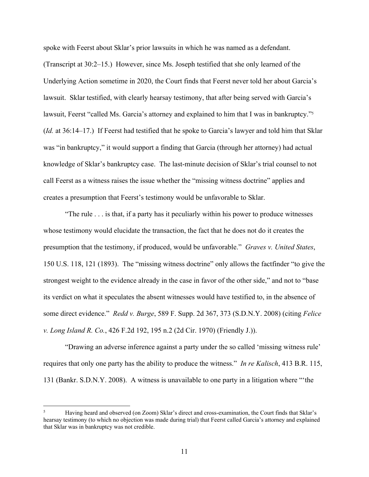spoke with Feerst about Sklar's prior lawsuits in which he was named as a defendant. (Transcript at 30:2–15.) However, since Ms. Joseph testified that she only learned of the Underlying Action sometime in 2020, the Court finds that Feerst never told her about Garcia's lawsuit. Sklar testified, with clearly hearsay testimony, that after being served with Garcia's lawsuit, Feerst "called Ms. Garcia's attorney and explained to him that I was in bankruptcy."<sup>5</sup> (*Id.* at 36:14–17.) If Feerst had testified that he spoke to Garcia's lawyer and told him that Sklar was "in bankruptcy," it would support a finding that Garcia (through her attorney) had actual knowledge of Sklar's bankruptcy case. The last-minute decision of Sklar's trial counsel to not call Feerst as a witness raises the issue whether the "missing witness doctrine" applies and creates a presumption that Feerst's testimony would be unfavorable to Sklar.

"The rule . . . is that, if a party has it peculiarly within his power to produce witnesses whose testimony would elucidate the transaction, the fact that he does not do it creates the presumption that the testimony, if produced, would be unfavorable." *Graves v. United States*, 150 U.S. 118, 121 (1893). The "missing witness doctrine" only allows the factfinder "to give the strongest weight to the evidence already in the case in favor of the other side," and not to "base its verdict on what it speculates the absent witnesses would have testified to, in the absence of some direct evidence." *Redd v. Burge*, 589 F. Supp. 2d 367, 373 (S.D.N.Y. 2008) (citing *Felice v. Long Island R. Co.*, 426 F.2d 192, 195 n.2 (2d Cir. 1970) (Friendly J.)).

"Drawing an adverse inference against a party under the so called 'missing witness rule' requires that only one party has the ability to produce the witness." *In re Kalisch*, 413 B.R. 115, 131 (Bankr. S.D.N.Y. 2008). A witness is unavailable to one party in a litigation where "'the

<sup>5</sup> Having heard and observed (on Zoom) Sklar's direct and cross-examination, the Court finds that Sklar's hearsay testimony (to which no objection was made during trial) that Feerst called Garcia's attorney and explained that Sklar was in bankruptcy was not credible.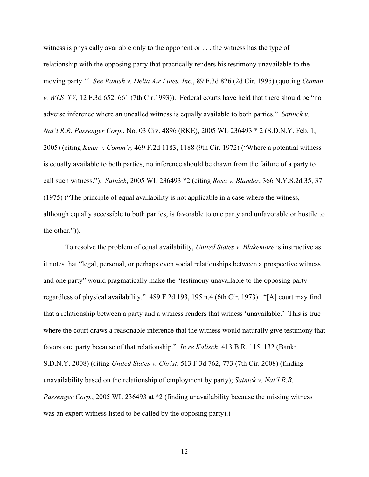witness is physically available only to the opponent or . . . the witness has the type of relationship with the opposing party that practically renders his testimony unavailable to the moving party.'" *See Ranish v. Delta Air Lines, Inc.*, 89 F.3d 826 (2d Cir. 1995) (quoting *Oxman v. WLS–TV*, 12 F.3d 652, 661 (7th Cir.1993)). Federal courts have held that there should be "no adverse inference where an uncalled witness is equally available to both parties." *Satnick v. Nat'l R.R. Passenger Corp.*, No. 03 Civ. 4896 (RKE), 2005 WL 236493 \* 2 (S.D.N.Y. Feb. 1, 2005) (citing *Kean v. Comm'r,* 469 F.2d 1183, 1188 (9th Cir. 1972) ("Where a potential witness is equally available to both parties, no inference should be drawn from the failure of a party to call such witness."). *Satnick*, 2005 WL 236493 \*2 (citing *Rosa v. Blander*, 366 N.Y.S.2d 35, 37 (1975) ("The principle of equal availability is not applicable in a case where the witness, although equally accessible to both parties, is favorable to one party and unfavorable or hostile to the other.")).

To resolve the problem of equal availability, *United States v. Blakemore* is instructive as it notes that "legal, personal, or perhaps even social relationships between a prospective witness and one party" would pragmatically make the "testimony unavailable to the opposing party regardless of physical availability." 489 F.2d 193, 195 n.4 (6th Cir. 1973). "[A] court may find that a relationship between a party and a witness renders that witness 'unavailable.' This is true where the court draws a reasonable inference that the witness would naturally give testimony that favors one party because of that relationship." *In re Kalisch*, 413 B.R. 115, 132 (Bankr. S.D.N.Y. 2008) (citing *United States v. Christ*, 513 F.3d 762, 773 (7th Cir. 2008) (finding unavailability based on the relationship of employment by party); *Satnick v. Nat'l R.R. Passenger Corp.*, 2005 WL 236493 at \*2 (finding unavailability because the missing witness was an expert witness listed to be called by the opposing party).)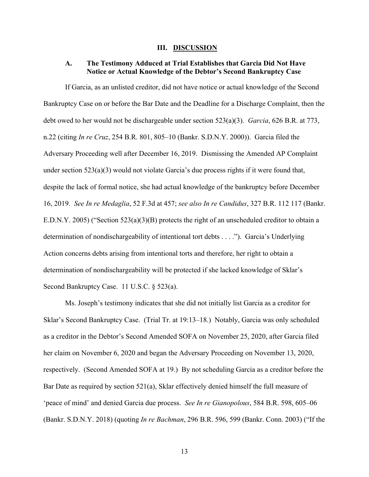#### **III. DISCUSSION**

## **A. The Testimony Adduced at Trial Establishes that Garcia Did Not Have Notice or Actual Knowledge of the Debtor's Second Bankruptcy Case**

If Garcia, as an unlisted creditor, did not have notice or actual knowledge of the Second Bankruptcy Case on or before the Bar Date and the Deadline for a Discharge Complaint, then the debt owed to her would not be dischargeable under section 523(a)(3). *Garcia*, 626 B.R. at 773, n.22 (citing *In re Cruz*, 254 B.R. 801, 805–10 (Bankr. S.D.N.Y. 2000)). Garcia filed the Adversary Proceeding well after December 16, 2019. Dismissing the Amended AP Complaint under section  $523(a)(3)$  would not violate Garcia's due process rights if it were found that, despite the lack of formal notice, she had actual knowledge of the bankruptcy before December 16, 2019. *See In re Medaglia*, 52 F.3d at 457; *see also In re Candidus*, 327 B.R. 112 117 (Bankr. E.D.N.Y. 2005) ("Section 523(a)(3)(B) protects the right of an unscheduled creditor to obtain a determination of nondischargeability of intentional tort debts . . . ."). Garcia's Underlying Action concerns debts arising from intentional torts and therefore, her right to obtain a determination of nondischargeability will be protected if she lacked knowledge of Sklar's Second Bankruptcy Case. 11 U.S.C. § 523(a).

Ms. Joseph's testimony indicates that she did not initially list Garcia as a creditor for Sklar's Second Bankruptcy Case. (Trial Tr. at 19:13–18.) Notably, Garcia was only scheduled as a creditor in the Debtor's Second Amended SOFA on November 25, 2020, after Garcia filed her claim on November 6, 2020 and began the Adversary Proceeding on November 13, 2020, respectively. (Second Amended SOFA at 19.) By not scheduling Garcia as a creditor before the Bar Date as required by section 521(a), Sklar effectively denied himself the full measure of 'peace of mind' and denied Garcia due process. *See In re Gianopolous*, 584 B.R. 598, 605–06 (Bankr. S.D.N.Y. 2018) (quoting *In re Bachman*, 296 B.R. 596, 599 (Bankr. Conn. 2003) ("If the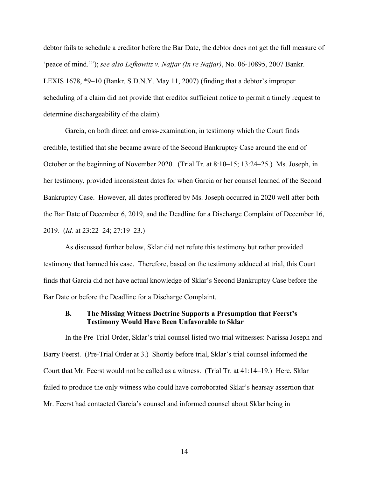debtor fails to schedule a creditor before the Bar Date, the debtor does not get the full measure of 'peace of mind.'"); *see also Lefkowitz v. Najjar (In re Najjar)*, No. 06-10895, 2007 Bankr. LEXIS 1678, \*9–10 (Bankr. S.D.N.Y. May 11, 2007) (finding that a debtor's improper scheduling of a claim did not provide that creditor sufficient notice to permit a timely request to determine dischargeability of the claim).

Garcia, on both direct and cross-examination, in testimony which the Court finds credible, testified that she became aware of the Second Bankruptcy Case around the end of October or the beginning of November 2020. (Trial Tr. at 8:10–15; 13:24–25.) Ms. Joseph, in her testimony, provided inconsistent dates for when Garcia or her counsel learned of the Second Bankruptcy Case. However, all dates proffered by Ms. Joseph occurred in 2020 well after both the Bar Date of December 6, 2019, and the Deadline for a Discharge Complaint of December 16, 2019. (*Id.* at 23:22–24; 27:19–23.)

As discussed further below, Sklar did not refute this testimony but rather provided testimony that harmed his case. Therefore, based on the testimony adduced at trial, this Court finds that Garcia did not have actual knowledge of Sklar's Second Bankruptcy Case before the Bar Date or before the Deadline for a Discharge Complaint.

### **B. The Missing Witness Doctrine Supports a Presumption that Feerst's Testimony Would Have Been Unfavorable to Sklar**

In the Pre-Trial Order, Sklar's trial counsel listed two trial witnesses: Narissa Joseph and Barry Feerst. (Pre-Trial Order at 3.) Shortly before trial, Sklar's trial counsel informed the Court that Mr. Feerst would not be called as a witness. (Trial Tr. at 41:14–19.) Here, Sklar failed to produce the only witness who could have corroborated Sklar's hearsay assertion that Mr. Feerst had contacted Garcia's counsel and informed counsel about Sklar being in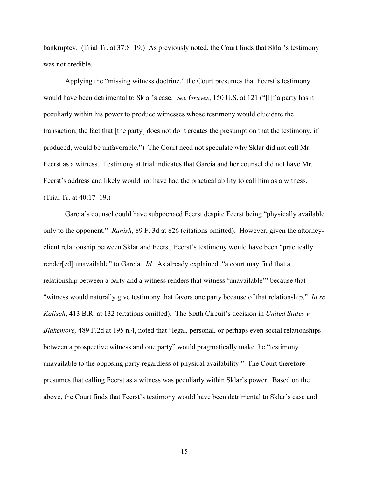bankruptcy. (Trial Tr. at 37:8–19.) As previously noted, the Court finds that Sklar's testimony was not credible.

Applying the "missing witness doctrine," the Court presumes that Feerst's testimony would have been detrimental to Sklar's case. *See Graves*, 150 U.S. at 121 ("[I]f a party has it peculiarly within his power to produce witnesses whose testimony would elucidate the transaction, the fact that [the party] does not do it creates the presumption that the testimony, if produced, would be unfavorable.") The Court need not speculate why Sklar did not call Mr. Feerst as a witness. Testimony at trial indicates that Garcia and her counsel did not have Mr. Feerst's address and likely would not have had the practical ability to call him as a witness. (Trial Tr. at 40:17–19.)

Garcia's counsel could have subpoenaed Feerst despite Feerst being "physically available only to the opponent." *Ranish*, 89 F. 3d at 826 (citations omitted). However, given the attorneyclient relationship between Sklar and Feerst, Feerst's testimony would have been "practically render[ed] unavailable" to Garcia. *Id.* As already explained, "a court may find that a relationship between a party and a witness renders that witness 'unavailable'" because that "witness would naturally give testimony that favors one party because of that relationship." *In re Kalisch*, 413 B.R. at 132 (citations omitted). The Sixth Circuit's decision in *United States v. Blakemore,* 489 F.2d at 195 n.4, noted that "legal, personal, or perhaps even social relationships between a prospective witness and one party" would pragmatically make the "testimony unavailable to the opposing party regardless of physical availability." The Court therefore presumes that calling Feerst as a witness was peculiarly within Sklar's power. Based on the above, the Court finds that Feerst's testimony would have been detrimental to Sklar's case and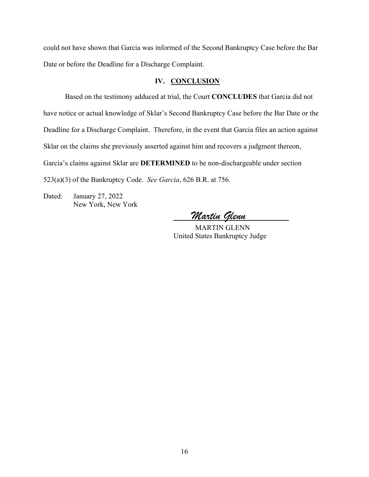could not have shown that Garcia was informed of the Second Bankruptcy Case before the Bar Date or before the Deadline for a Discharge Complaint.

### IV. **CONCLUSION**

Based on the testimony adduced at trial, the Court **CONCLUDES** that Garcia did not have notice or actual knowledge of Sklar's Second Bankruptcy Case before the Bar Date or the Deadline for a Discharge Complaint. Therefore, in the event that Garcia files an action against Sklar on the claims she previously asserted against him and recovers a judgment thereon, Garcia's claims against Sklar are **DETERMINED** to be non-dischargeable under section 523(a)(3) of the Bankruptcy Code. *See Garcia*, 626 B.R. at 756.

Dated: January 27, 2022 New York, New York

**\_\_\_\_\_***Martin Glenn***\_\_\_\_\_\_\_\_\_\_\_\_** 

 MARTIN GLENN United States Bankruptcy Judge